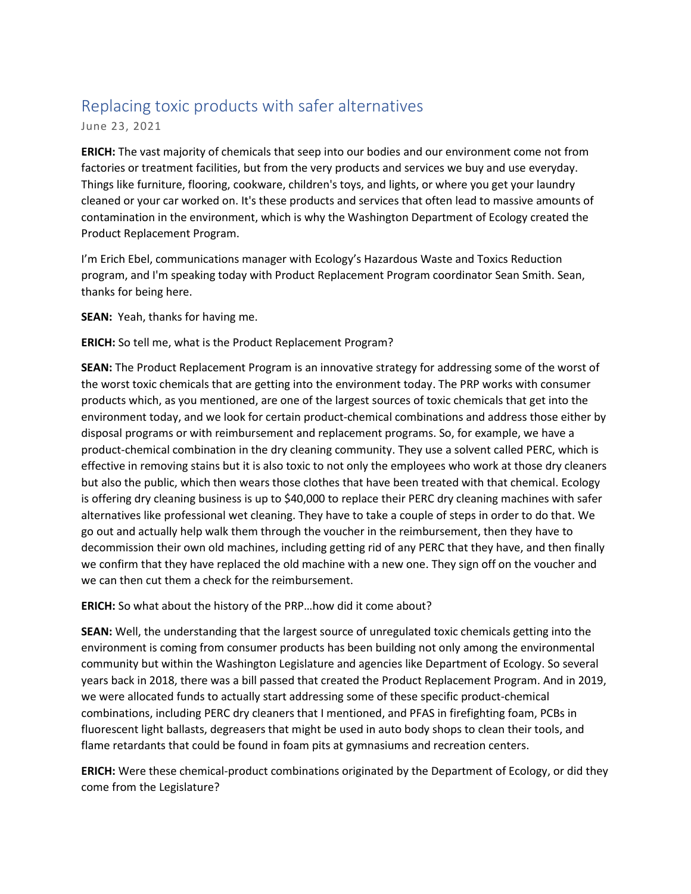## Replacing toxic products with safer alternatives

June 23, 2021

**ERICH:** The vast majority of chemicals that seep into our bodies and our environment come not from factories or treatment facilities, but from the very products and services we buy and use everyday. Things like furniture, flooring, cookware, children's toys, and lights, or where you get your laundry cleaned or your car worked on. It's these products and services that often lead to massive amounts of contamination in the environment, which is why the Washington Department of Ecology created the Product Replacement Program.

I'm Erich Ebel, communications manager with Ecology's Hazardous Waste and Toxics Reduction program, and I'm speaking today with Product Replacement Program coordinator Sean Smith. Sean, thanks for being here.

**SEAN:** Yeah, thanks for having me.

**ERICH:** So tell me, what is the Product Replacement Program?

**SEAN:** The Product Replacement Program is an innovative strategy for addressing some of the worst of the worst toxic chemicals that are getting into the environment today. The PRP works with consumer products which, as you mentioned, are one of the largest sources of toxic chemicals that get into the environment today, and we look for certain product-chemical combinations and address those either by disposal programs or with reimbursement and replacement programs. So, for example, we have a product-chemical combination in the dry cleaning community. They use a solvent called PERC, which is effective in removing stains but it is also toxic to not only the employees who work at those dry cleaners but also the public, which then wears those clothes that have been treated with that chemical. Ecology is offering dry cleaning business is up to \$40,000 to replace their PERC dry cleaning machines with safer alternatives like professional wet cleaning. They have to take a couple of steps in order to do that. We go out and actually help walk them through the voucher in the reimbursement, then they have to decommission their own old machines, including getting rid of any PERC that they have, and then finally we confirm that they have replaced the old machine with a new one. They sign off on the voucher and we can then cut them a check for the reimbursement.

**ERICH:** So what about the history of the PRP…how did it come about?

**SEAN:** Well, the understanding that the largest source of unregulated toxic chemicals getting into the environment is coming from consumer products has been building not only among the environmental community but within the Washington Legislature and agencies like Department of Ecology. So several years back in 2018, there was a bill passed that created the Product Replacement Program. And in 2019, we were allocated funds to actually start addressing some of these specific product-chemical combinations, including PERC dry cleaners that I mentioned, and PFAS in firefighting foam, PCBs in fluorescent light ballasts, degreasers that might be used in auto body shops to clean their tools, and flame retardants that could be found in foam pits at gymnasiums and recreation centers.

**ERICH:** Were these chemical-product combinations originated by the Department of Ecology, or did they come from the Legislature?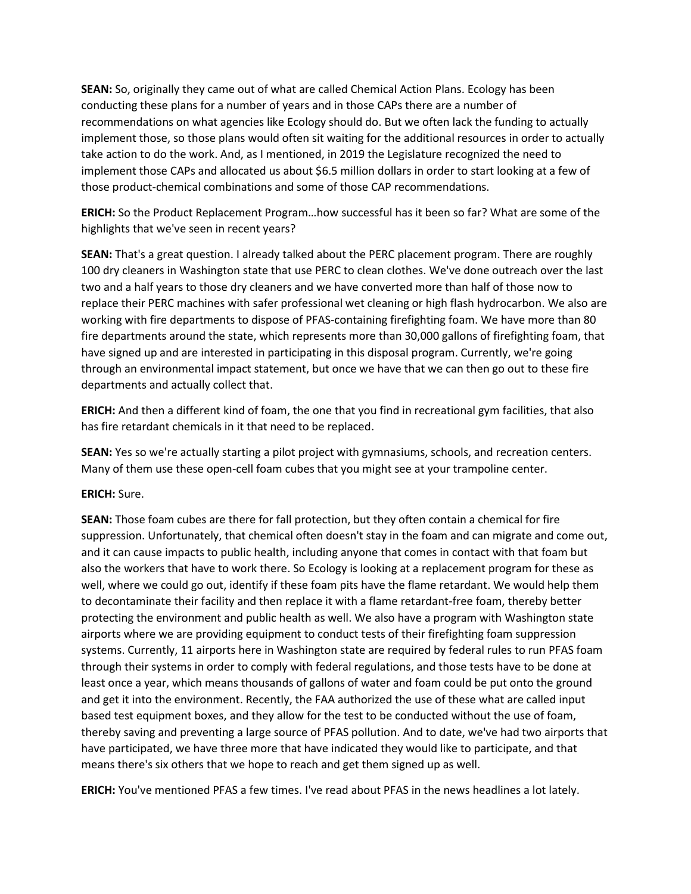**SEAN:** So, originally they came out of what are called Chemical Action Plans. Ecology has been conducting these plans for a number of years and in those CAPs there are a number of recommendations on what agencies like Ecology should do. But we often lack the funding to actually implement those, so those plans would often sit waiting for the additional resources in order to actually take action to do the work. And, as I mentioned, in 2019 the Legislature recognized the need to implement those CAPs and allocated us about \$6.5 million dollars in order to start looking at a few of those product-chemical combinations and some of those CAP recommendations.

**ERICH:** So the Product Replacement Program…how successful has it been so far? What are some of the highlights that we've seen in recent years?

**SEAN:** That's a great question. I already talked about the PERC placement program. There are roughly 100 dry cleaners in Washington state that use PERC to clean clothes. We've done outreach over the last two and a half years to those dry cleaners and we have converted more than half of those now to replace their PERC machines with safer professional wet cleaning or high flash hydrocarbon. We also are working with fire departments to dispose of PFAS-containing firefighting foam. We have more than 80 fire departments around the state, which represents more than 30,000 gallons of firefighting foam, that have signed up and are interested in participating in this disposal program. Currently, we're going through an environmental impact statement, but once we have that we can then go out to these fire departments and actually collect that.

**ERICH:** And then a different kind of foam, the one that you find in recreational gym facilities, that also has fire retardant chemicals in it that need to be replaced.

**SEAN:** Yes so we're actually starting a pilot project with gymnasiums, schools, and recreation centers. Many of them use these open-cell foam cubes that you might see at your trampoline center.

**ERICH:** Sure.

**SEAN:** Those foam cubes are there for fall protection, but they often contain a chemical for fire suppression. Unfortunately, that chemical often doesn't stay in the foam and can migrate and come out, and it can cause impacts to public health, including anyone that comes in contact with that foam but also the workers that have to work there. So Ecology is looking at a replacement program for these as well, where we could go out, identify if these foam pits have the flame retardant. We would help them to decontaminate their facility and then replace it with a flame retardant-free foam, thereby better protecting the environment and public health as well. We also have a program with Washington state airports where we are providing equipment to conduct tests of their firefighting foam suppression systems. Currently, 11 airports here in Washington state are required by federal rules to run PFAS foam through their systems in order to comply with federal regulations, and those tests have to be done at least once a year, which means thousands of gallons of water and foam could be put onto the ground and get it into the environment. Recently, the FAA authorized the use of these what are called input based test equipment boxes, and they allow for the test to be conducted without the use of foam, thereby saving and preventing a large source of PFAS pollution. And to date, we've had two airports that have participated, we have three more that have indicated they would like to participate, and that means there's six others that we hope to reach and get them signed up as well.

**ERICH:** You've mentioned PFAS a few times. I've read about PFAS in the news headlines a lot lately.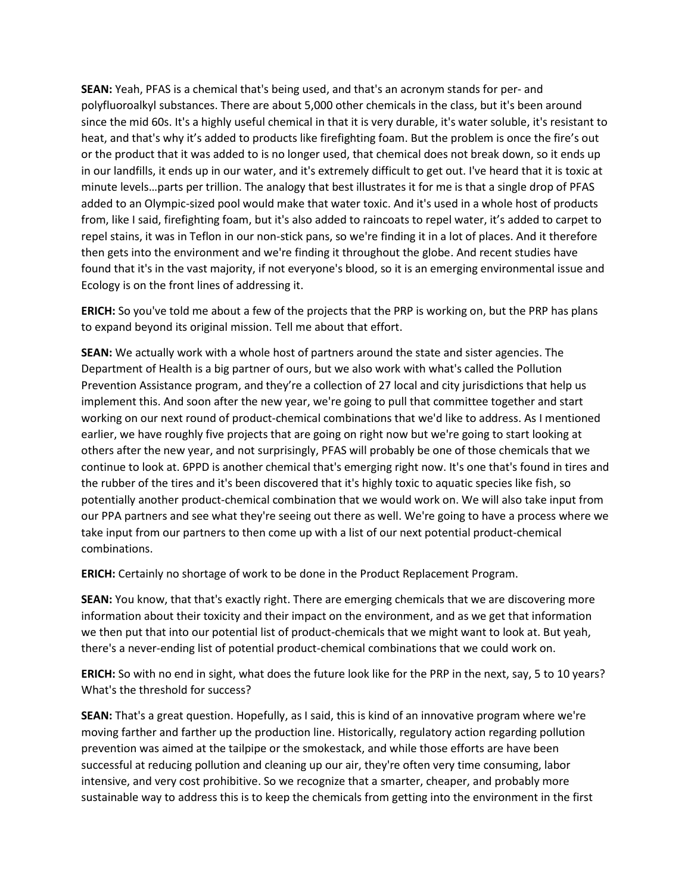**SEAN:** Yeah, PFAS is a chemical that's being used, and that's an acronym stands for per- and polyfluoroalkyl substances. There are about 5,000 other chemicals in the class, but it's been around since the mid 60s. It's a highly useful chemical in that it is very durable, it's water soluble, it's resistant to heat, and that's why it's added to products like firefighting foam. But the problem is once the fire's out or the product that it was added to is no longer used, that chemical does not break down, so it ends up in our landfills, it ends up in our water, and it's extremely difficult to get out. I've heard that it is toxic at minute levels…parts per trillion. The analogy that best illustrates it for me is that a single drop of PFAS added to an Olympic-sized pool would make that water toxic. And it's used in a whole host of products from, like I said, firefighting foam, but it's also added to raincoats to repel water, it's added to carpet to repel stains, it was in Teflon in our non-stick pans, so we're finding it in a lot of places. And it therefore then gets into the environment and we're finding it throughout the globe. And recent studies have found that it's in the vast majority, if not everyone's blood, so it is an emerging environmental issue and Ecology is on the front lines of addressing it.

**ERICH:** So you've told me about a few of the projects that the PRP is working on, but the PRP has plans to expand beyond its original mission. Tell me about that effort.

**SEAN:** We actually work with a whole host of partners around the state and sister agencies. The Department of Health is a big partner of ours, but we also work with what's called the Pollution Prevention Assistance program, and they're a collection of 27 local and city jurisdictions that help us implement this. And soon after the new year, we're going to pull that committee together and start working on our next round of product-chemical combinations that we'd like to address. As I mentioned earlier, we have roughly five projects that are going on right now but we're going to start looking at others after the new year, and not surprisingly, PFAS will probably be one of those chemicals that we continue to look at. 6PPD is another chemical that's emerging right now. It's one that's found in tires and the rubber of the tires and it's been discovered that it's highly toxic to aquatic species like fish, so potentially another product-chemical combination that we would work on. We will also take input from our PPA partners and see what they're seeing out there as well. We're going to have a process where we take input from our partners to then come up with a list of our next potential product-chemical combinations.

**ERICH:** Certainly no shortage of work to be done in the Product Replacement Program.

**SEAN:** You know, that that's exactly right. There are emerging chemicals that we are discovering more information about their toxicity and their impact on the environment, and as we get that information we then put that into our potential list of product-chemicals that we might want to look at. But yeah, there's a never-ending list of potential product-chemical combinations that we could work on.

**ERICH:** So with no end in sight, what does the future look like for the PRP in the next, say, 5 to 10 years? What's the threshold for success?

**SEAN:** That's a great question. Hopefully, as I said, this is kind of an innovative program where we're moving farther and farther up the production line. Historically, regulatory action regarding pollution prevention was aimed at the tailpipe or the smokestack, and while those efforts are have been successful at reducing pollution and cleaning up our air, they're often very time consuming, labor intensive, and very cost prohibitive. So we recognize that a smarter, cheaper, and probably more sustainable way to address this is to keep the chemicals from getting into the environment in the first